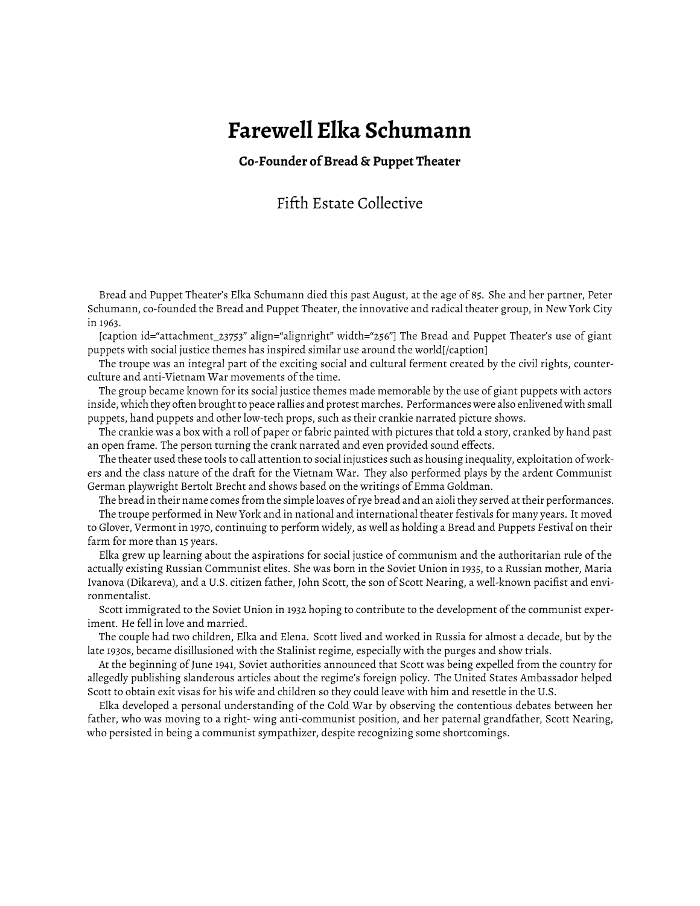## **Farewell Elka Schumann**

## **Co-Founder of Bread & Puppet Theater**

## Fifth Estate Collective

Bread and Puppet Theater's Elka Schumann died this past August, at the age of 85. She and her partner, Peter Schumann, co-founded the Bread and Puppet Theater, the innovative and radical theater group, in New York City in 1963.

[caption id="attachment\_23753" align="alignright" width="256"] The Bread and Puppet Theater's use of giant puppets with social justice themes has inspired similar use around the world[/caption]

The troupe was an integral part of the exciting social and cultural ferment created by the civil rights, counterculture and anti-Vietnam War movements of the time.

The group became known for its social justice themes made memorable by the use of giant puppets with actors inside, which they often brought to peace rallies and protest marches. Performances were also enlivened with small puppets, hand puppets and other low-tech props, such as their crankie narrated picture shows.

The crankie was a box with a roll of paper or fabric painted with pictures that told a story, cranked by hand past an open frame. The person turning the crank narrated and even provided sound effects.

The theater used these tools to call attention to social injustices such as housing inequality, exploitation of workers and the class nature of the draft for the Vietnam War. They also performed plays by the ardent Communist German playwright Bertolt Brecht and shows based on the writings of Emma Goldman.

The bread in their name comes from the simple loaves of rye bread and an aioli they served at their performances. The troupe performed in New York and in national and international theater festivals for many years. It moved to Glover, Vermont in 1970, continuing to perform widely, as well as holding a Bread and Puppets Festival on their farm for more than 15 years.

Elka grew up learning about the aspirations for social justice of communism and the authoritarian rule of the actually existing Russian Communist elites. She was born in the Soviet Union in 1935, to a Russian mother, Maria Ivanova (Dikareva), and a U.S. citizen father, John Scott, the son of Scott Nearing, a well-known pacifist and environmentalist.

Scott immigrated to the Soviet Union in 1932 hoping to contribute to the development of the communist experiment. He fell in love and married.

The couple had two children, Elka and Elena. Scott lived and worked in Russia for almost a decade, but by the late 1930s, became disillusioned with the Stalinist regime, especially with the purges and show trials.

At the beginning of June 1941, Soviet authorities announced that Scott was being expelled from the country for allegedly publishing slanderous articles about the regime's foreign policy. The United States Ambassador helped Scott to obtain exit visas for his wife and children so they could leave with him and resettle in the U.S.

Elka developed a personal understanding of the Cold War by observing the contentious debates between her father, who was moving to a right- wing anti-communist position, and her paternal grandfather, Scott Nearing, who persisted in being a communist sympathizer, despite recognizing some shortcomings.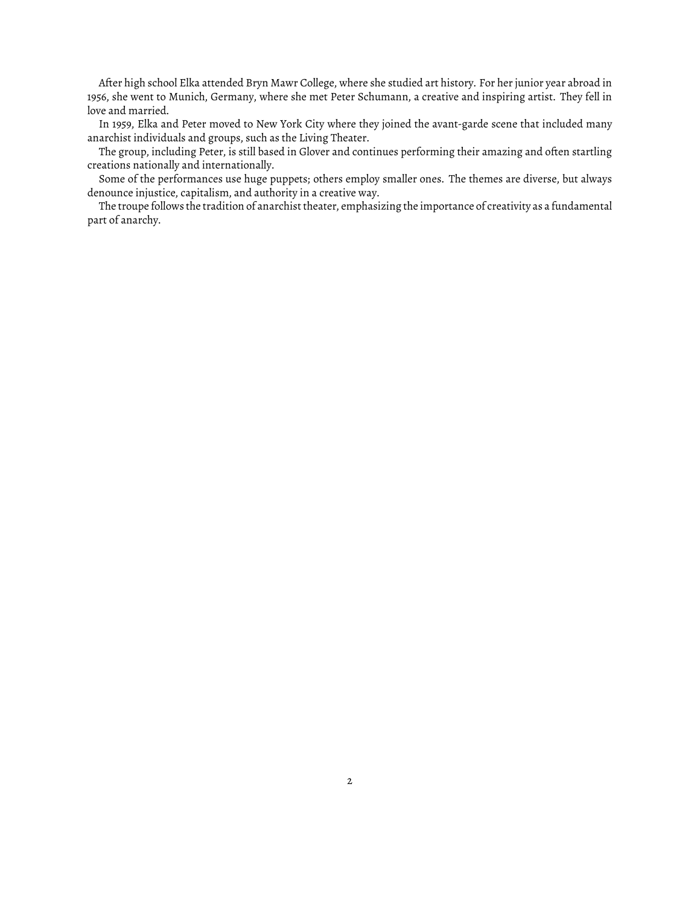After high school Elka attended Bryn Mawr College, where she studied art history. For her junior year abroad in 1956, she went to Munich, Germany, where she met Peter Schumann, a creative and inspiring artist. They fell in love and married.

In 1959, Elka and Peter moved to New York City where they joined the avant-garde scene that included many anarchist individuals and groups, such as the Living Theater.

The group, including Peter, is still based in Glover and continues performing their amazing and often startling creations nationally and internationally.

Some of the performances use huge puppets; others employ smaller ones. The themes are diverse, but always denounce injustice, capitalism, and authority in a creative way.

The troupe follows the tradition of anarchist theater, emphasizing the importance of creativity as a fundamental part of anarchy.